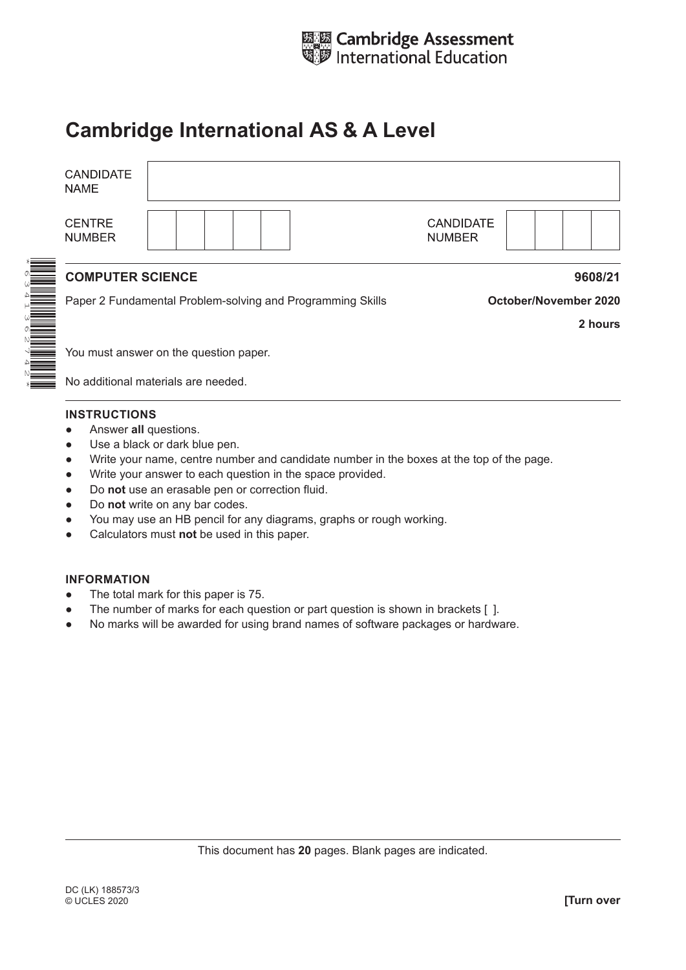

## **Cambridge International AS & A Level**

| <b>CANDIDATE</b><br><b>NAME</b>                            |  |                                   |                       |
|------------------------------------------------------------|--|-----------------------------------|-----------------------|
| <b>CENTRE</b><br><b>NUMBER</b>                             |  | <b>CANDIDATE</b><br><b>NUMBER</b> |                       |
| <b>COMPUTER SCIENCE</b><br>9608/21                         |  |                                   |                       |
| Paper 2 Fundamental Problem-solving and Programming Skills |  |                                   | October/November 2020 |
|                                                            |  |                                   | 2 hours               |
| You must answer on the question paper.                     |  |                                   |                       |
| No additional materials are needed.                        |  |                                   |                       |

#### **INSTRUCTIONS**

- Answer **all** questions.
- Use a black or dark blue pen.
- Write your name, centre number and candidate number in the boxes at the top of the page.
- Write your answer to each question in the space provided.
- Do **not** use an erasable pen or correction fluid.
- Do **not** write on any bar codes.
- You may use an HB pencil for any diagrams, graphs or rough working.
- Calculators must **not** be used in this paper.

#### **INFORMATION**

- The total mark for this paper is 75.
- The number of marks for each question or part question is shown in brackets [ ].
- No marks will be awarded for using brand names of software packages or hardware.

This document has **20** pages. Blank pages are indicated.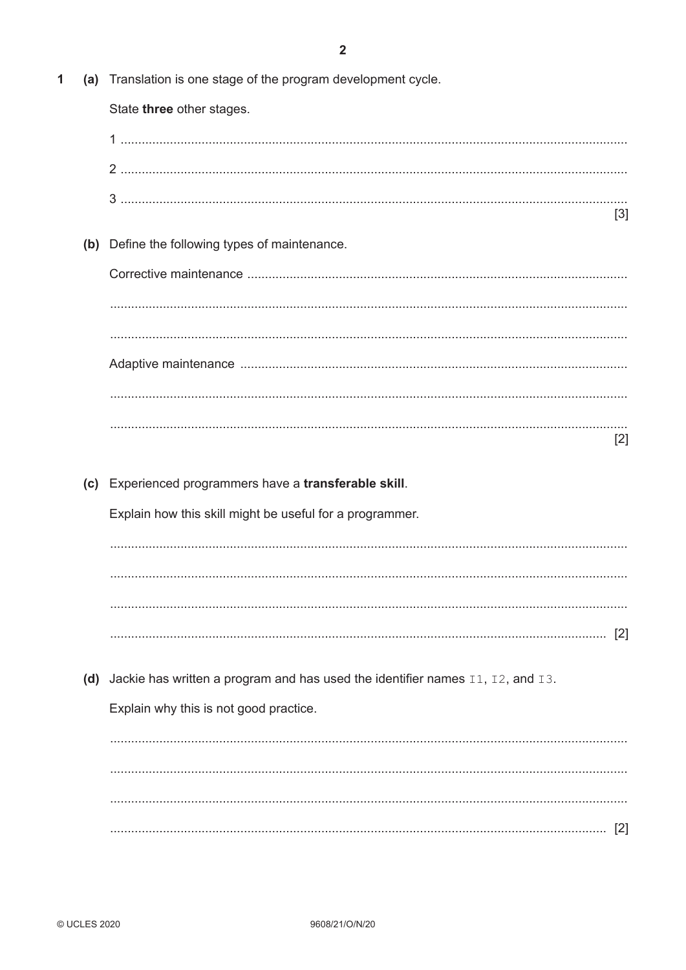|     | (a) Translation is one stage of the program development cycle.                 |                   |
|-----|--------------------------------------------------------------------------------|-------------------|
|     | State three other stages.                                                      |                   |
|     |                                                                                |                   |
|     |                                                                                |                   |
|     |                                                                                |                   |
|     |                                                                                | $[3]$             |
|     | (b) Define the following types of maintenance.                                 |                   |
|     |                                                                                |                   |
|     |                                                                                |                   |
|     |                                                                                |                   |
|     |                                                                                |                   |
|     |                                                                                |                   |
|     |                                                                                |                   |
|     |                                                                                | $[2]$             |
|     |                                                                                |                   |
|     | (c) Experienced programmers have a transferable skill.                         |                   |
|     | Explain how this skill might be useful for a programmer.                       |                   |
|     |                                                                                |                   |
|     |                                                                                |                   |
|     |                                                                                |                   |
|     |                                                                                |                   |
|     |                                                                                | $\lceil 2 \rceil$ |
| (d) | Jackie has written a program and has used the identifier names 11, 12, and 13. |                   |
|     | Explain why this is not good practice.                                         |                   |
|     |                                                                                |                   |
|     |                                                                                |                   |
|     |                                                                                |                   |
|     |                                                                                |                   |
|     |                                                                                | $[2]$             |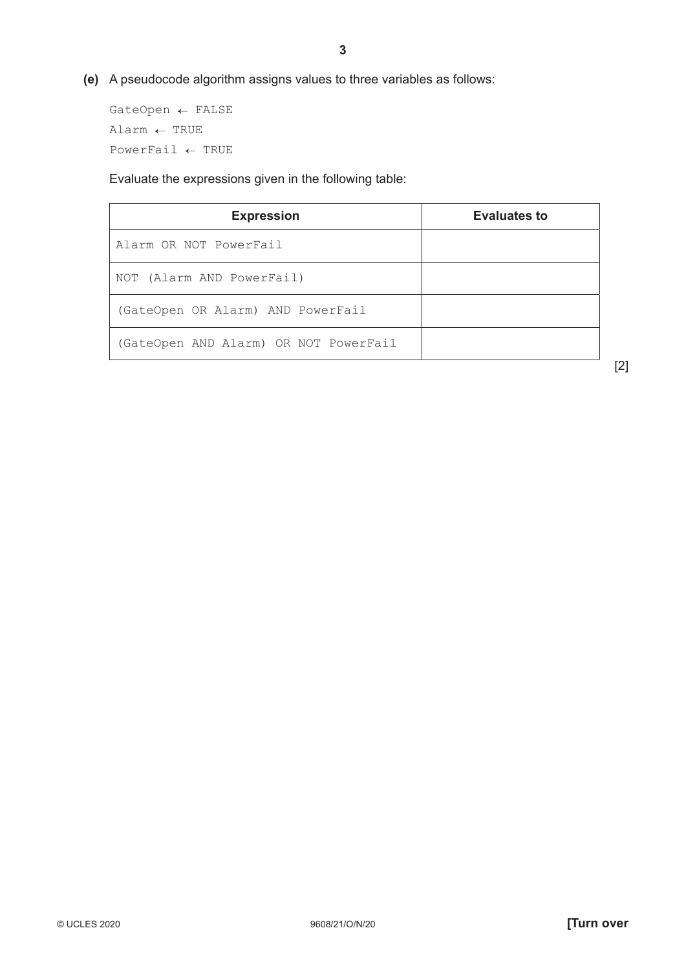**(e)** A pseudocode algorithm assigns values to three variables as follows:

 $GateOpen \leftarrow FALSE$ Alarm  $\leftarrow$  TRUE PowerFail  $\leftarrow$  TRUE

Evaluate the expressions given in the following table:

| <b>Expression</b>                     | Evaluates to |
|---------------------------------------|--------------|
| Alarm OR NOT PowerFail                |              |
| NOT (Alarm AND PowerFail)             |              |
| (GateOpen OR Alarm) AND PowerFail     |              |
| (GateOpen AND Alarm) OR NOT PowerFail |              |

[2]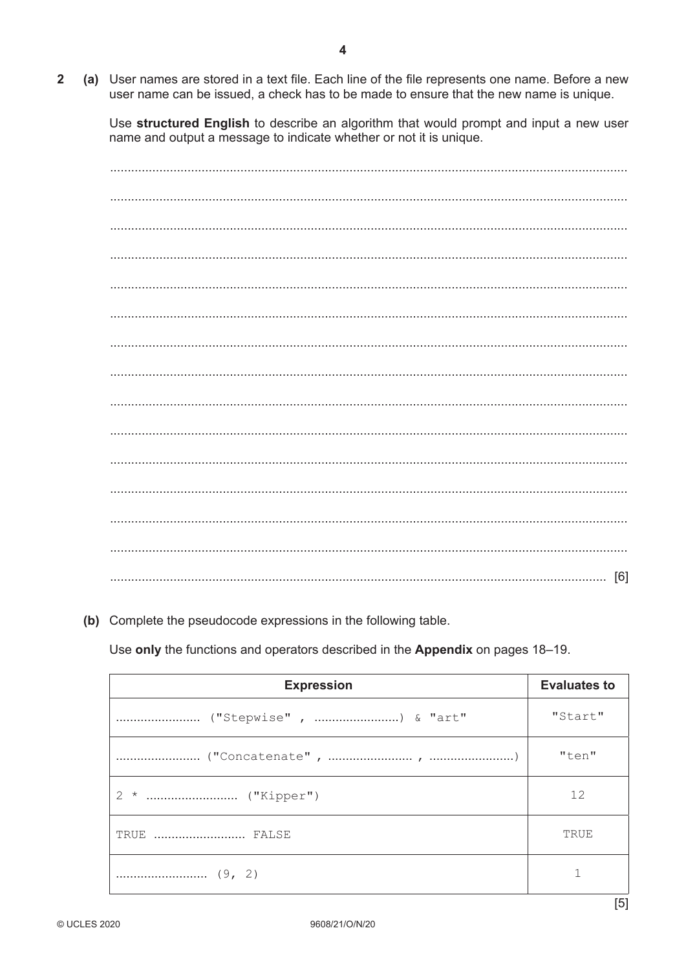$\overline{2}$ (a) User names are stored in a text file. Each line of the file represents one name. Before a new user name can be issued, a check has to be made to ensure that the new name is unique.

Use structured English to describe an algorithm that would prompt and input a new user name and output a message to indicate whether or not it is unique.

(b) Complete the pseudocode expressions in the following table.

Use only the functions and operators described in the Appendix on pages 18-19.

| <b>Expression</b> | <b>Evaluates to</b> |
|-------------------|---------------------|
|                   | "Start"             |
|                   | "ten"               |
|                   | 12                  |
| TRUE  FALSE       | TRUE                |
|                   |                     |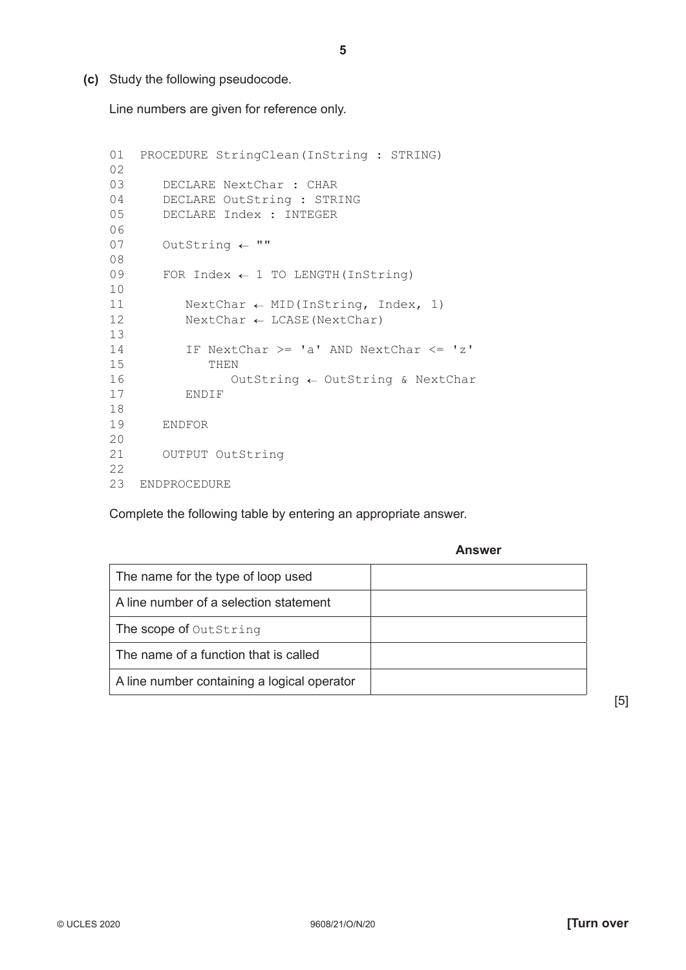**(c)** Study the following pseudocode.

Line numbers are given for reference only.

```
 01 PROCEDURE StringClean(InString : STRING)
02<br>03
03 DECLARE NextChar : CHAR<br>04 DECLARE OutString : STR
04 DECLARE OutString : STRING<br>05 DECLARE Index : INTEGER
          05 DECLARE Index : INTEGER
06<br>07
        OutString \leftarrow ""
 08
        FOR Index \leftarrow 1 TO LENGTH(InString)
10<br>11
              NextChar \leftarrow MID(InString, Index, 1)
12 NextChar \leftarrow LCASE (NextChar)
\begin{array}{c} 13 \\ 14 \end{array}14 IF NextChar >= 'a' AND NextChar <= 'z'<br>15 THEN
15 THEN<br>16 O
                      OutString \leftarrow OutString & NextChar
 17 ENDIF
18<br>19
         19 ENDFOR
\begin{array}{c} 20 \\ 21 \end{array}OUTPUT OutString
 22
 23 ENDPROCEDURE
```
Complete the following table by entering an appropriate answer.

| The name for the type of loop used          |  |
|---------------------------------------------|--|
| A line number of a selection statement      |  |
| The scope of OutString                      |  |
| The name of a function that is called       |  |
| A line number containing a logical operator |  |

[5]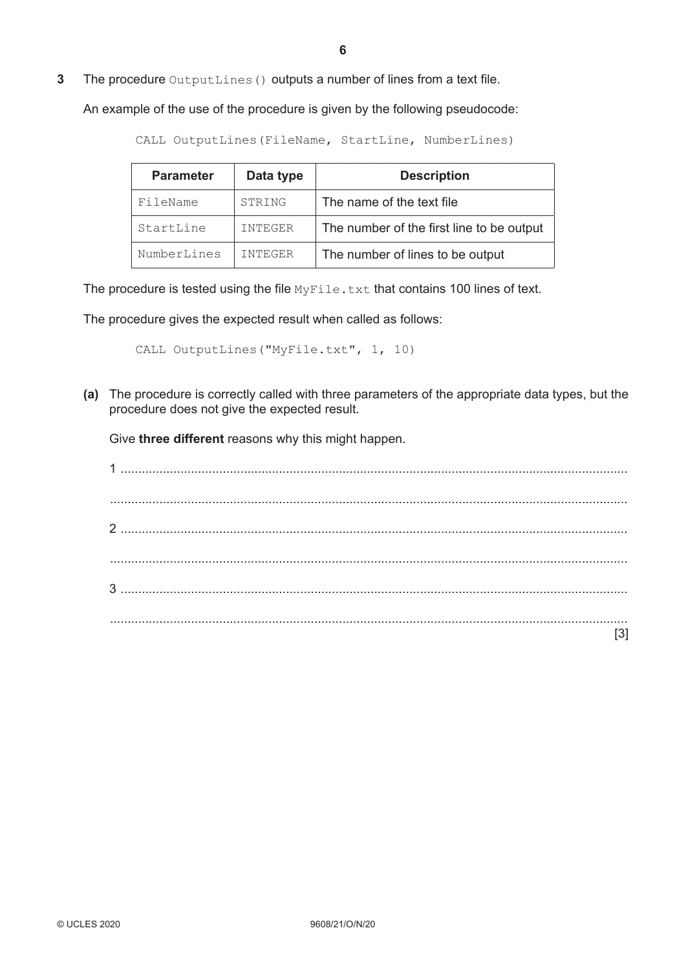**3** The procedure OutputLines () outputs a number of lines from a text file.

An example of the use of the procedure is given by the following pseudocode:

CALL OutputLines(FileName, StartLine, NumberLines)

| <b>Parameter</b> | Data type | <b>Description</b>                        |
|------------------|-----------|-------------------------------------------|
| FileName         | STRING    | The name of the text file                 |
| StartLine        | INTEGER   | The number of the first line to be output |
| NumberLines      | INTEGER   | The number of lines to be output          |

The procedure is tested using the file MyFile.txt that contains 100 lines of text.

The procedure gives the expected result when called as follows:

```
 CALL OutputLines("MyFile.txt", 1, 10)
```
**(a)** The procedure is correctly called with three parameters of the appropriate data types, but the procedure does not give the expected result.

Give **three different** reasons why this might happen.

1 ................................................................................................................................................ ................................................................................................................................................... 2 ................................................................................................................................................ ................................................................................................................................................... 3 ................................................................................................................................................ ................................................................................................................................................... [3]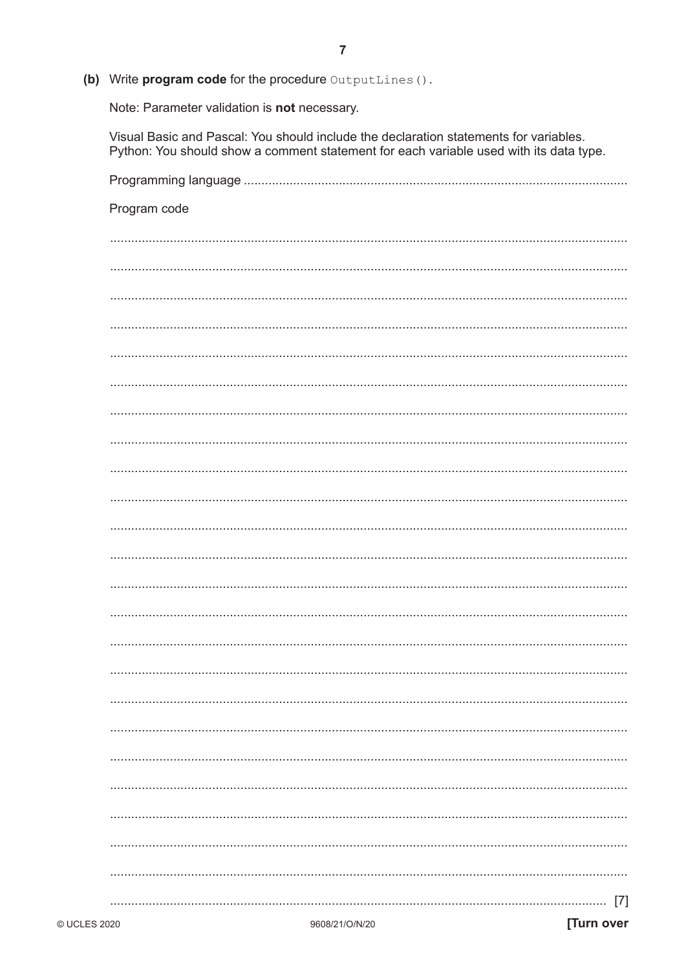#### (b) Write program code for the procedure OutputLines ().

Note: Parameter validation is not necessary.

Visual Basic and Pascal: You should include the declaration statements for variables. Python: You should show a comment statement for each variable used with its data type.

| Program code |
|--------------|
|              |
|              |
|              |
|              |
|              |
|              |
|              |
|              |
|              |
|              |
|              |
|              |
|              |
|              |
|              |
|              |
|              |
|              |
|              |
|              |
|              |
|              |
| $[7]$        |
|              |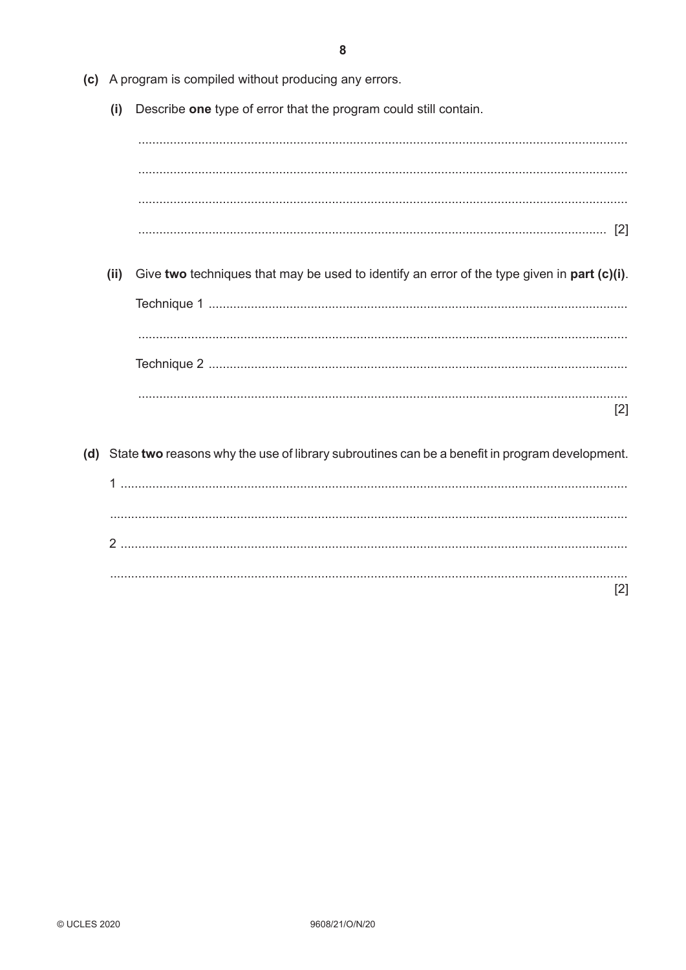- (c) A program is compiled without producing any errors.
	- (i) Describe one type of error that the program could still contain.

Give two techniques that may be used to identify an error of the type given in part (c)(i).  $(ii)$  $[2]$ (d) State two reasons why the use of library subroutines can be a benefit in program development.  $[2]$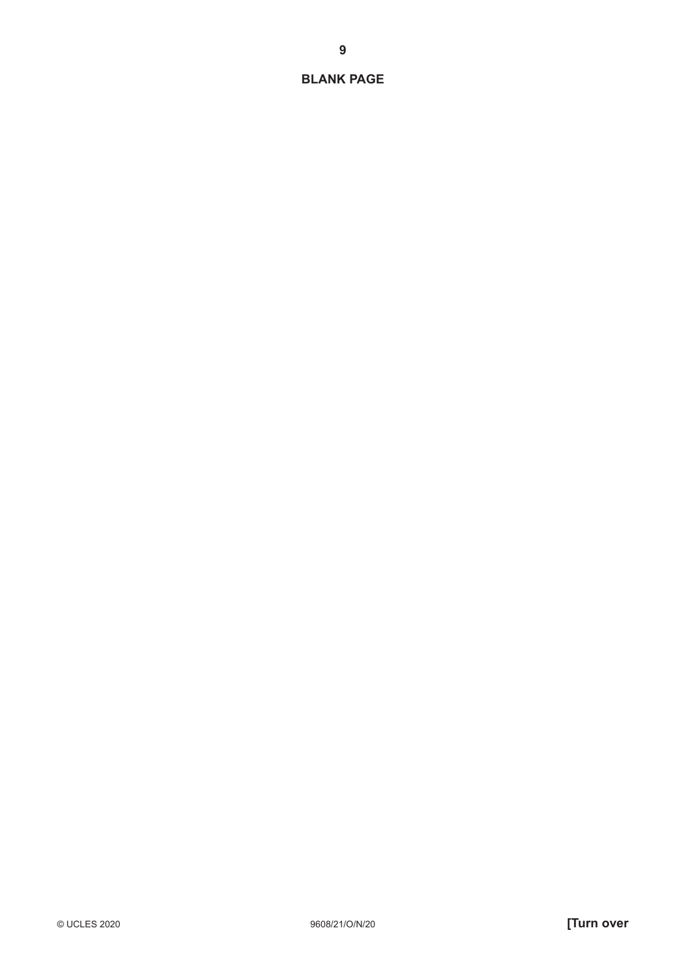#### **BLANK PAGE**

 $\boldsymbol{9}$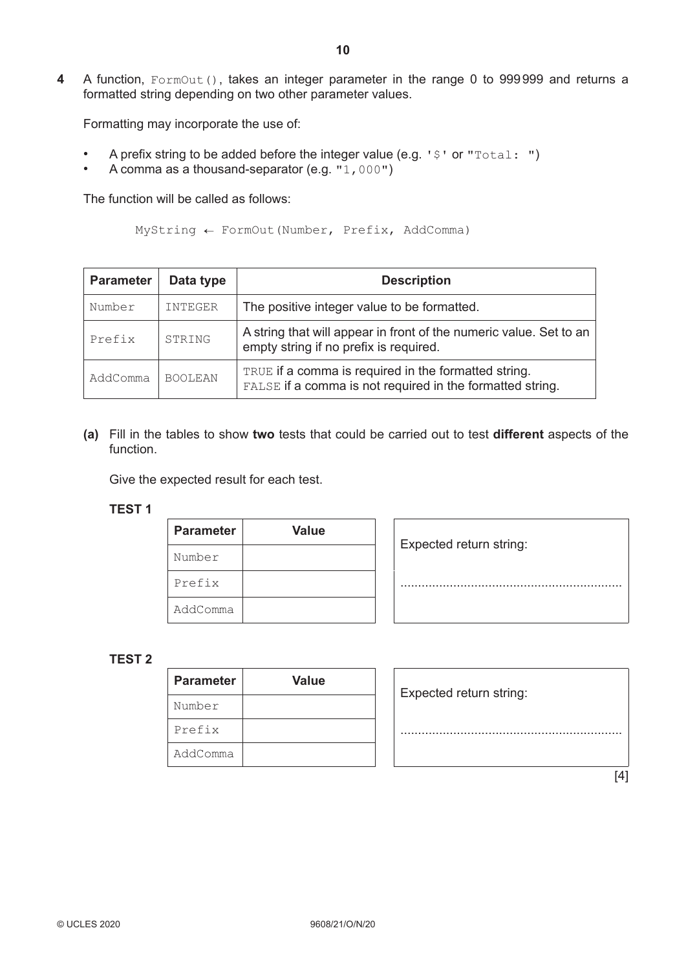**4** A function, FormOut(), takes an integer parameter in the range 0 to 999999 and returns a formatted string depending on two other parameter values.

Formatting may incorporate the use of:

- A prefix string to be added before the integer value (e.g. ' $\frac{5}{7}$ ' or "Total: ")<br>• A comma as a thousand-separator (e.g. "1, 000")
- A comma as a thousand-separator (e.g. "1,000")

The function will be called as follows:

```
MyString \leftarrow FormOut(Number, Prefix, AddComma)
```

| <b>Parameter</b> | Data type      | <b>Description</b>                                                                                                |
|------------------|----------------|-------------------------------------------------------------------------------------------------------------------|
| Number           | INTEGER        | The positive integer value to be formatted.                                                                       |
| Prefix           | STRING         | A string that will appear in front of the numeric value. Set to an<br>empty string if no prefix is required.      |
| AddComma         | <b>BOOLEAN</b> | TRUE if a comma is required in the formatted string.<br>FALSE if a comma is not required in the formatted string. |

**(a)** Fill in the tables to show **two** tests that could be carried out to test **different** aspects of the function.

Give the expected result for each test.

#### **TEST 1**

| <b>Parameter</b> | <b>Value</b> |
|------------------|--------------|
| Number           |              |
| Prefix           |              |
| AddComma         |              |

Expected return string: Prefix ...............................................................

#### **TEST 2**

| <b>Parameter</b> | Value |
|------------------|-------|
| Number           |       |
| Prefix           |       |
| AddComma         |       |

<u> 1989 - Johann Stein, mars ar breithinn ar chuid ann an t-</u>

| <b>Parameter</b> | <b>Value</b> |  | Expected return string: |
|------------------|--------------|--|-------------------------|
| Number           |              |  |                         |
| Prefix           |              |  |                         |
| AddComma         |              |  |                         |
|                  |              |  |                         |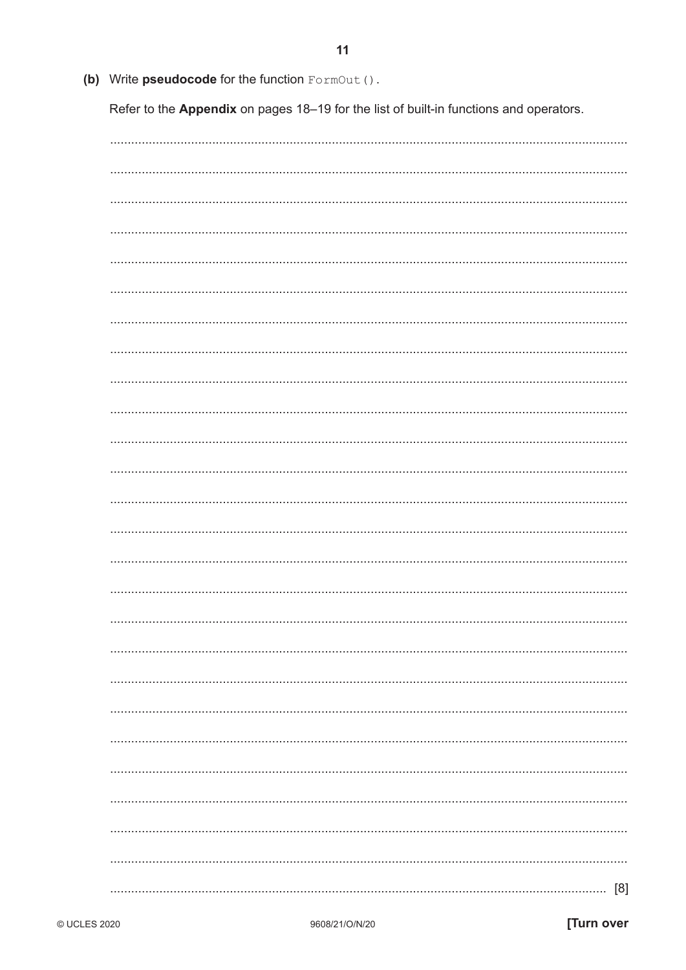| Refer to the Appendix on pages 18-19 for the list of built-in functions and operators. |
|----------------------------------------------------------------------------------------|
|                                                                                        |
|                                                                                        |
|                                                                                        |
|                                                                                        |
|                                                                                        |
|                                                                                        |
|                                                                                        |
|                                                                                        |
|                                                                                        |
|                                                                                        |
|                                                                                        |
|                                                                                        |
|                                                                                        |
|                                                                                        |
|                                                                                        |
|                                                                                        |
|                                                                                        |
|                                                                                        |
|                                                                                        |
|                                                                                        |
|                                                                                        |
|                                                                                        |
|                                                                                        |
|                                                                                        |
|                                                                                        |
| [8]                                                                                    |

(b) Write pseudocode for the function FormOut ().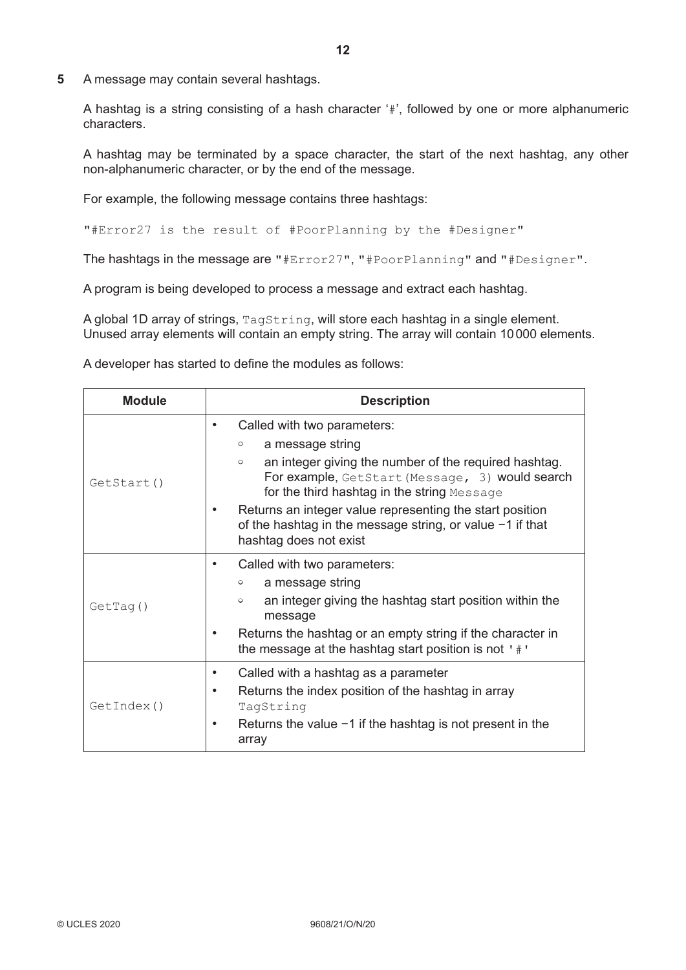**5** A message may contain several hashtags.

A hashtag is a string consisting of a hash character '#', followed by one or more alphanumeric characters.

A hashtag may be terminated by a space character, the start of the next hashtag, any other non-alphanumeric character, or by the end of the message.

For example, the following message contains three hashtags:

"#Error27 is the result of #PoorPlanning by the #Designer"

The hashtags in the message are "#Error27", "#PoorPlanning" and "#Designer".

A program is being developed to process a message and extract each hashtag.

A global 1D array of strings, TagString, will store each hashtag in a single element. Unused array elements will contain an empty string. The array will contain 10000 elements.

A developer has started to define the modules as follows:

| <b>Module</b> | <b>Description</b>                                                                                                                                                                     |  |
|---------------|----------------------------------------------------------------------------------------------------------------------------------------------------------------------------------------|--|
|               | Called with two parameters:<br>$\bullet$<br>$\circ$                                                                                                                                    |  |
| GetStart()    | a message string<br>an integer giving the number of the required hashtag.<br>$\circ$<br>For example, GetStart (Message, 3) would search<br>for the third hashtag in the string Message |  |
|               | Returns an integer value representing the start position<br>٠<br>of the hashtag in the message string, or value $-1$ if that<br>hashtag does not exist                                 |  |
|               | Called with two parameters:<br>٠                                                                                                                                                       |  |
|               | a message string<br>$\circ$                                                                                                                                                            |  |
| GetTag()      | an integer giving the hashtag start position within the<br>$\circ$<br>message                                                                                                          |  |
|               | Returns the hashtag or an empty string if the character in<br>the message at the hashtag start position is not $'$ #'                                                                  |  |
|               | Called with a hashtag as a parameter<br>٠                                                                                                                                              |  |
| GetIndex()    | Returns the index position of the hashtag in array<br>$\bullet$<br>TagString                                                                                                           |  |
|               | Returns the value $-1$ if the hashtag is not present in the<br>٠<br>array                                                                                                              |  |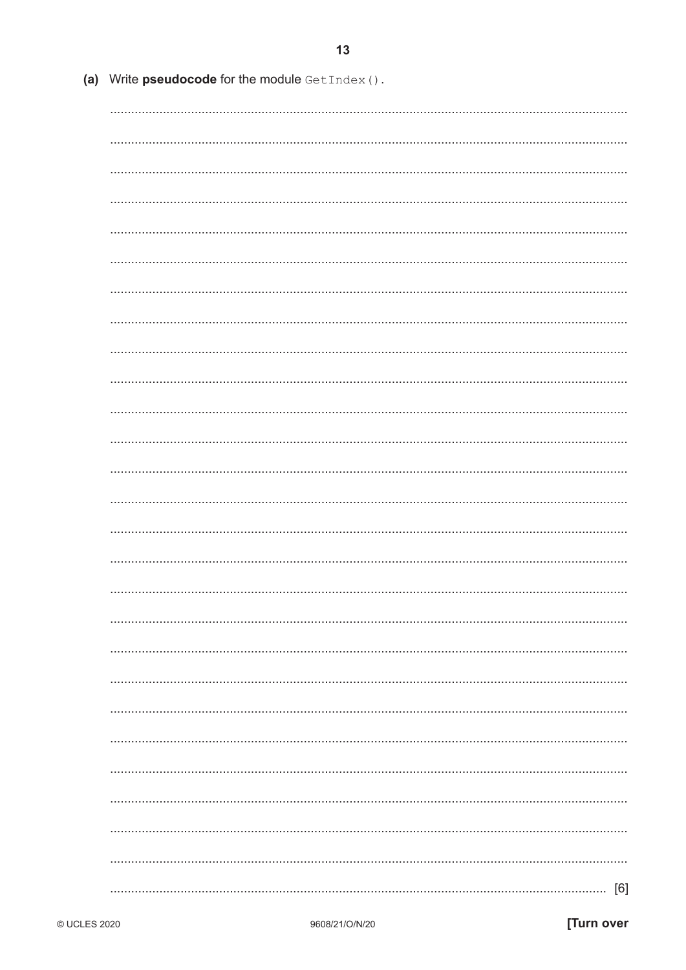| . |
|---|
|   |
|   |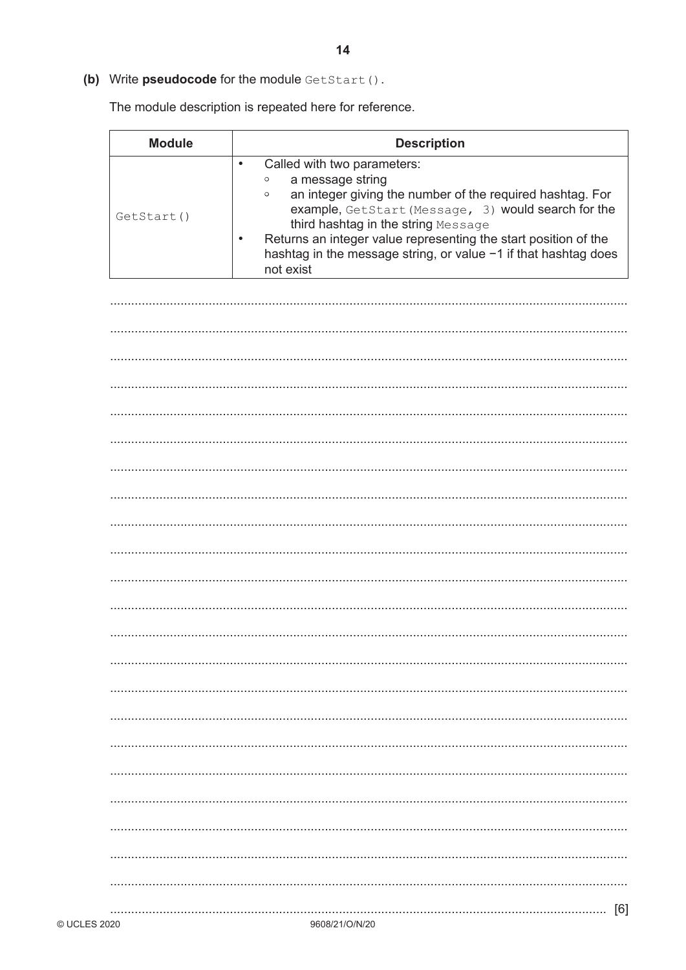(b) Write pseudocode for the module GetStart ().

The module description is repeated here for reference.

| <b>Module</b> | <b>Description</b>                                                                                                                                                                                                                                                                                                                                                                               |  |  |
|---------------|--------------------------------------------------------------------------------------------------------------------------------------------------------------------------------------------------------------------------------------------------------------------------------------------------------------------------------------------------------------------------------------------------|--|--|
| GetStart()    | Called with two parameters:<br>a message string<br>$\circ$<br>an integer giving the number of the required hashtag. For<br>$\circ$<br>example, GetStart (Message, 3) would search for the<br>third hashtag in the string Message<br>Returns an integer value representing the start position of the<br>$\bullet$<br>hashtag in the message string, or value -1 if that hashtag does<br>not exist |  |  |

|     |                | [6] |
|-----|----------------|-----|
| 020 | 9608/21/O/N/20 |     |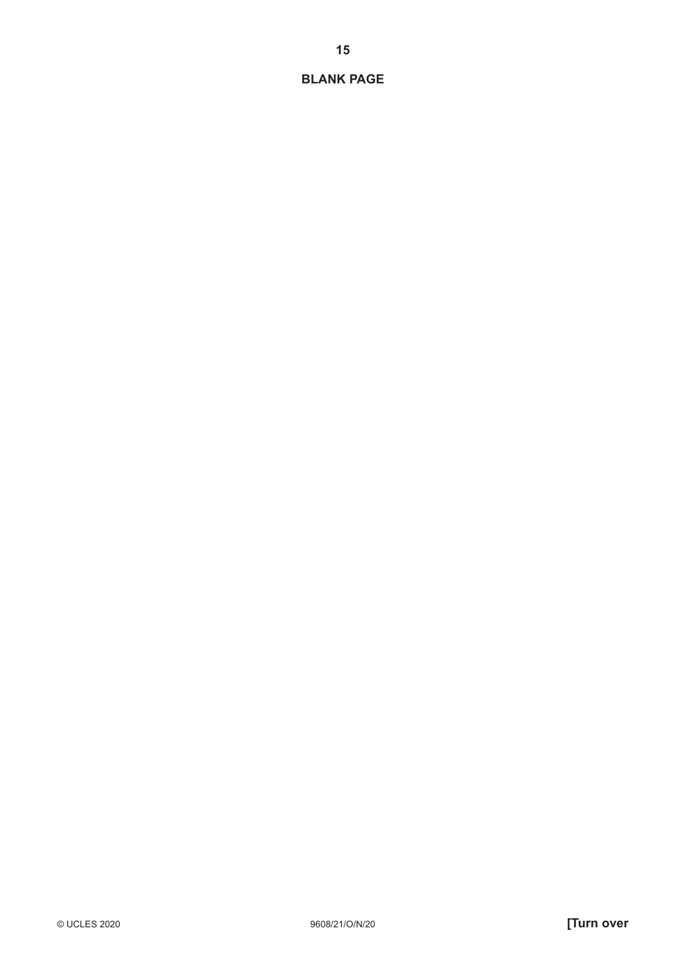#### **BLANK PAGE**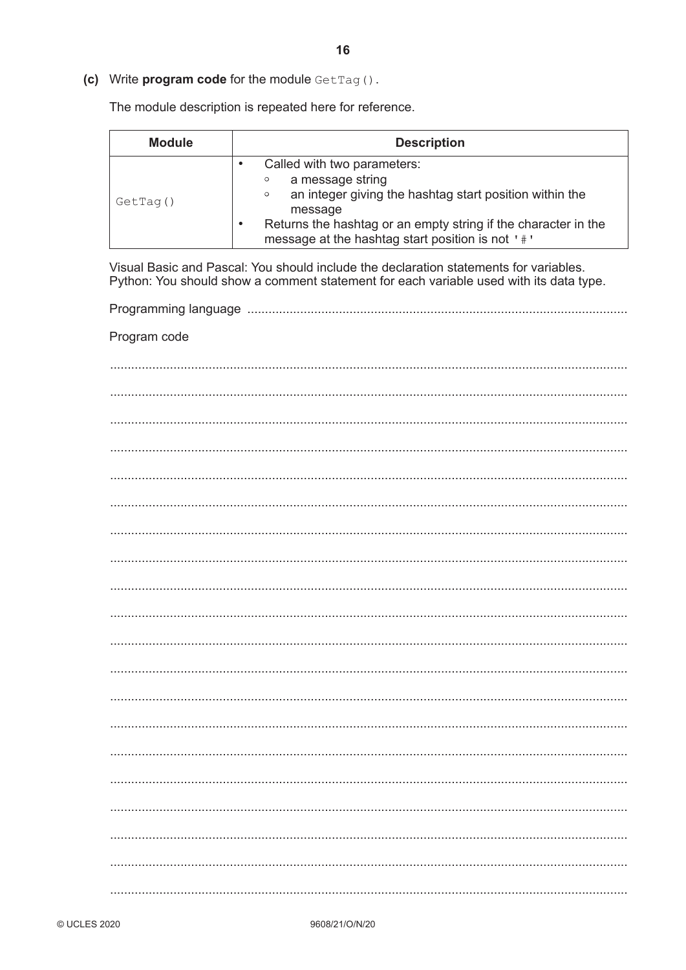(c) Write program code for the module GetTag().

The module description is repeated here for reference.

| <b>Module</b>                                                                                                                                                                   | <b>Description</b>                                                                                                                                                                                                                                                                    |  |  |  |  |
|---------------------------------------------------------------------------------------------------------------------------------------------------------------------------------|---------------------------------------------------------------------------------------------------------------------------------------------------------------------------------------------------------------------------------------------------------------------------------------|--|--|--|--|
| GetTag()                                                                                                                                                                        | Called with two parameters:<br>$\bullet$<br>a message string<br>O<br>an integer giving the hashtag start position within the<br>$\circ$<br>message<br>Returns the hashtag or an empty string if the character in the<br>$\bullet$<br>message at the hashtag start position is not '#' |  |  |  |  |
| Visual Basic and Pascal: You should include the declaration statements for variables.<br>Python: You should show a comment statement for each variable used with its data type. |                                                                                                                                                                                                                                                                                       |  |  |  |  |
|                                                                                                                                                                                 |                                                                                                                                                                                                                                                                                       |  |  |  |  |
| Program code                                                                                                                                                                    |                                                                                                                                                                                                                                                                                       |  |  |  |  |
|                                                                                                                                                                                 |                                                                                                                                                                                                                                                                                       |  |  |  |  |
|                                                                                                                                                                                 |                                                                                                                                                                                                                                                                                       |  |  |  |  |
|                                                                                                                                                                                 |                                                                                                                                                                                                                                                                                       |  |  |  |  |
|                                                                                                                                                                                 |                                                                                                                                                                                                                                                                                       |  |  |  |  |
|                                                                                                                                                                                 |                                                                                                                                                                                                                                                                                       |  |  |  |  |
|                                                                                                                                                                                 |                                                                                                                                                                                                                                                                                       |  |  |  |  |
|                                                                                                                                                                                 |                                                                                                                                                                                                                                                                                       |  |  |  |  |
|                                                                                                                                                                                 |                                                                                                                                                                                                                                                                                       |  |  |  |  |
|                                                                                                                                                                                 |                                                                                                                                                                                                                                                                                       |  |  |  |  |
|                                                                                                                                                                                 |                                                                                                                                                                                                                                                                                       |  |  |  |  |
|                                                                                                                                                                                 |                                                                                                                                                                                                                                                                                       |  |  |  |  |
|                                                                                                                                                                                 |                                                                                                                                                                                                                                                                                       |  |  |  |  |
|                                                                                                                                                                                 |                                                                                                                                                                                                                                                                                       |  |  |  |  |
|                                                                                                                                                                                 |                                                                                                                                                                                                                                                                                       |  |  |  |  |
|                                                                                                                                                                                 |                                                                                                                                                                                                                                                                                       |  |  |  |  |
|                                                                                                                                                                                 |                                                                                                                                                                                                                                                                                       |  |  |  |  |
|                                                                                                                                                                                 |                                                                                                                                                                                                                                                                                       |  |  |  |  |
|                                                                                                                                                                                 |                                                                                                                                                                                                                                                                                       |  |  |  |  |
|                                                                                                                                                                                 |                                                                                                                                                                                                                                                                                       |  |  |  |  |
|                                                                                                                                                                                 |                                                                                                                                                                                                                                                                                       |  |  |  |  |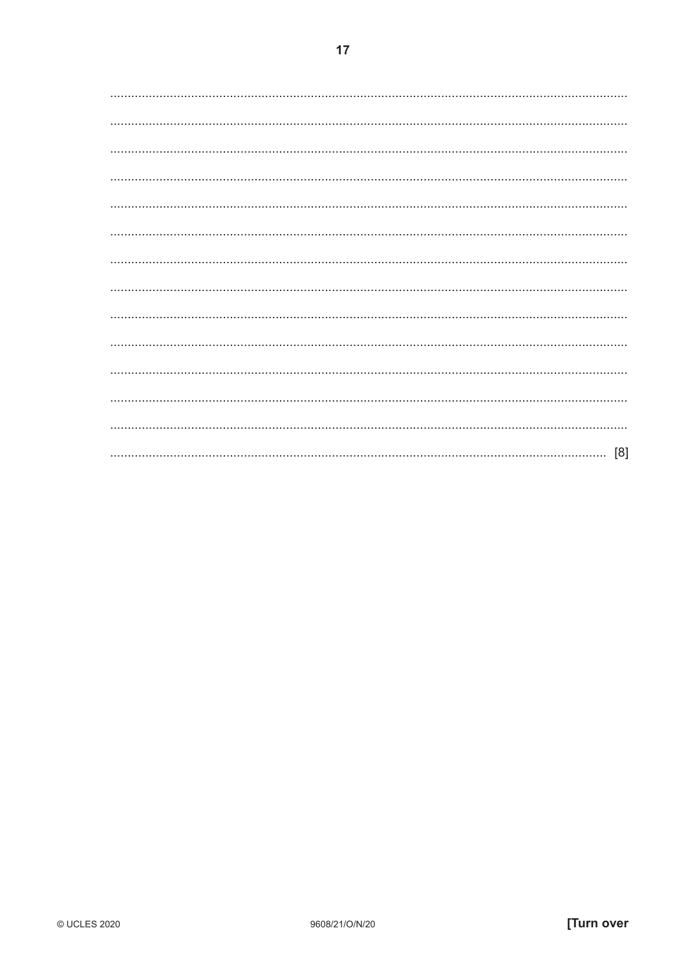$\sim$   $\sim$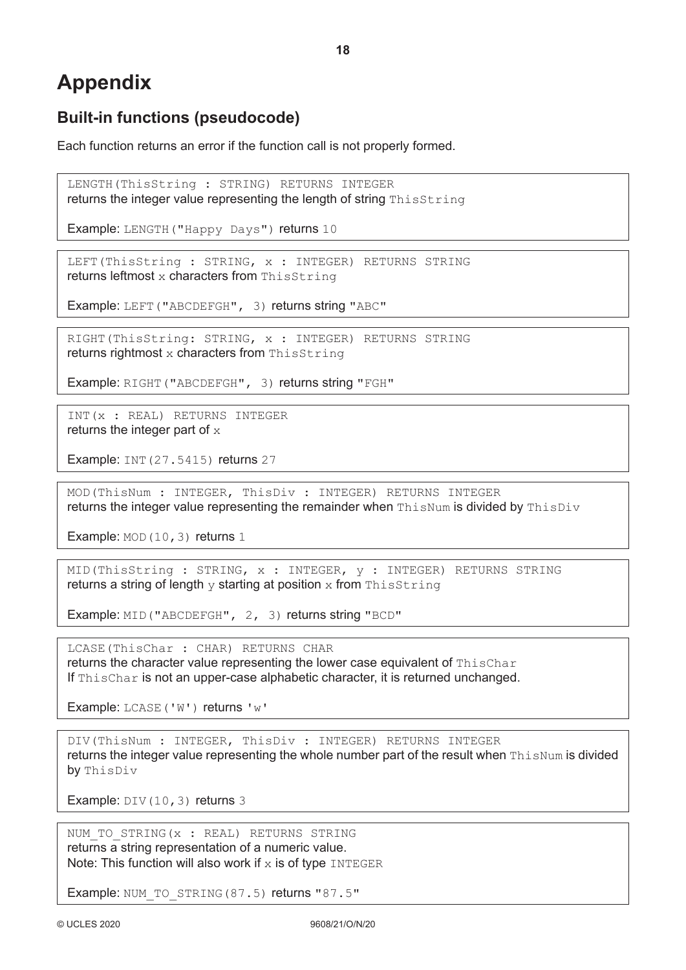# **Appendix**

### **Built-in functions (pseudocode)**

Each function returns an error if the function call is not properly formed.

LENGTH(ThisString : STRING) RETURNS INTEGER returns the integer value representing the length of string ThisString

Example: LENGTH("Happy Days") returns 10

LEFT(ThisString : STRING, x : INTEGER) RETURNS STRING returns leftmost x characters from ThisString

Example: LEFT("ABCDEFGH", 3) returns string "ABC"

RIGHT(ThisString: STRING, x : INTEGER) RETURNS STRING returns rightmost x characters from ThisString

Example: RIGHT("ABCDEFGH", 3) returns string "FGH"

INT(x : REAL) RETURNS INTEGER returns the integer part of  $x$ 

**Example: INT (27.5415) returns 27** 

MOD(ThisNum : INTEGER, ThisDiv : INTEGER) RETURNS INTEGER returns the integer value representing the remainder when ThisNum is divided by ThisDiv

Example: MOD (10, 3) returns 1

MID(ThisString : STRING, x : INTEGER, y : INTEGER) RETURNS STRING returns a string of length  $y$  starting at position  $x$  from ThisString

Example: MID("ABCDEFGH", 2, 3) returns string "BCD"

LCASE(ThisChar : CHAR) RETURNS CHAR returns the character value representing the lower case equivalent of  $\text{ThisChar}$ If ThisChar is not an upper-case alphabetic character, it is returned unchanged.

Example: LCASE('W') returns 'w'

DIV(ThisNum : INTEGER, ThisDiv : INTEGER) RETURNS INTEGER returns the integer value representing the whole number part of the result when ThisNum is divided by ThisDiv

Example: DIV(10,3) returns 3

NUM TO STRING(x : REAL) RETURNS STRING returns a string representation of a numeric value. Note: This function will also work if  $x$  is of type INTEGER

Example: NUM\_TO\_STRING(87.5) returns "87.5"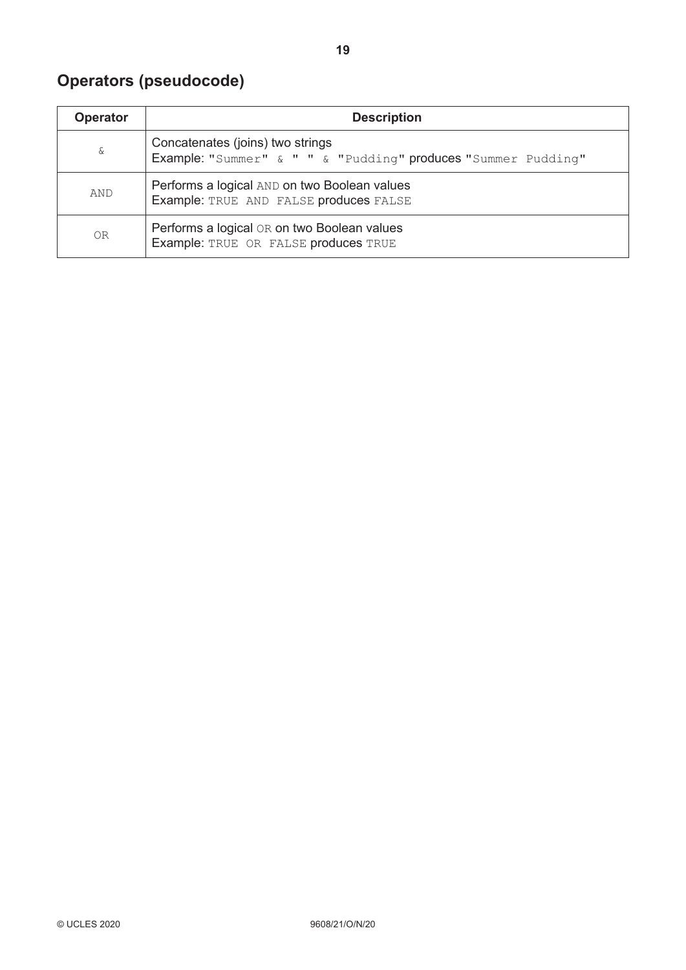### **Operators (pseudocode)**

| <b>Operator</b> | <b>Description</b>                                                                                |
|-----------------|---------------------------------------------------------------------------------------------------|
| ି               | Concatenates (joins) two strings<br>Example: "Summer" & " " & "Pudding" produces "Summer Pudding" |
| AND             | Performs a logical AND on two Boolean values<br>Example: TRUE AND FALSE produces FALSE            |
| <b>OR</b>       | Performs a logical OR on two Boolean values<br>Example: TRUE OR FALSE produces TRUE               |